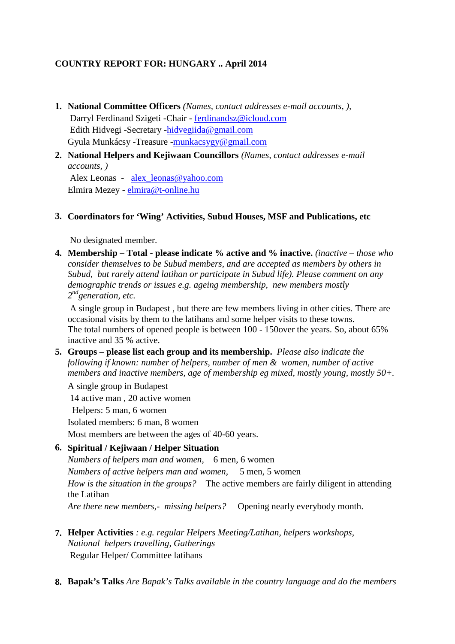## **COUNTRY REPORT FOR: HUNGARY .. April 2014**

- **1. National Committee Officers** *(Names, contact addresses e-mail accounts, ),* Darryl Ferdinand Szigeti -Chair - ferdinandsz@icloud.com Edith Hidvegi -Secretary -hidvegiida@gmail.com Gyula Munkácsy -Treasure -munkacsygy@gmail.com
- **2. National Helpers and Kejiwaan Councillors** *(Names, contact addresses e-mail accounts, )*

Alex Leonas - alex\_leonas@yahoo.com Elmira Mezey - elmira@t-online.hu

## **3. Coordinators for 'Wing' Activities, Subud Houses, MSF and Publications, etc**

No designated member.

**4. Membership – Total - please indicate % active and % inactive.** *(inactive – those who consider themselves to be Subud members, and are accepted as members by others in Subud, but rarely attend latihan or participate in Subud life). Please comment on any demographic trends or issues e.g. ageing membership, new members mostly 2 ndgeneration, etc.*

A single group in Budapest , but there are few members living in other cities. There are occasional visits by them to the latihans and some helper visits to these towns. The total numbers of opened people is between 100 - 150over the years. So, about 65% inactive and 35 % active.

**5. Groups – please list each group and its membership.** *Please also indicate the following if known: number of helpers, number of men & women, number of active members and inactive members, age of membership eg mixed, mostly young, mostly 50+.*

A single group in Budapest 14 active man , 20 active women Helpers: 5 man, 6 women Isolated members: 6 man, 8 women Most members are between the ages of 40-60 years.

## **6. Spiritual / Kejiwaan / Helper Situation**

*Numbers of helpers man and women,* 6 men, 6 women *Numbers of active helpers man and women,* 5 men, 5 women *How is the situation in the groups?* The active members are fairly diligent in attending the Latihan *Are there new members,- missing helpers?* Opening nearly everybody month.

- **7. Helper Activities** *: e.g. regular Helpers Meeting/Latihan, helpers workshops, National helpers travelling, Gatherings* Regular Helper/ Committee latihans
- **8. Bapak's Talks** *Are Bapak's Talks available in the country language and do the members*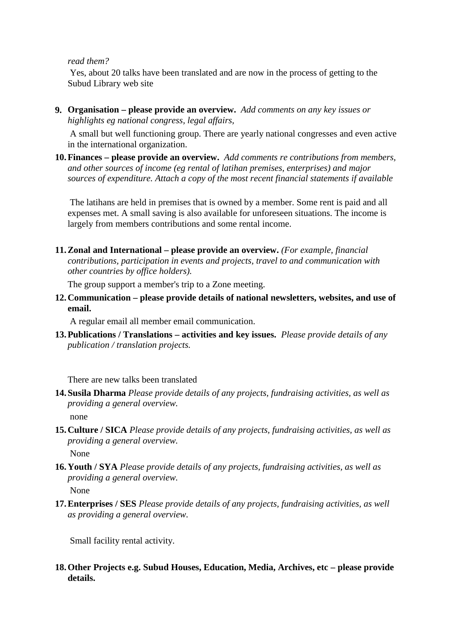#### *read them?*

Yes, about 20 talks have been translated and are now in the process of getting to the Subud Library web site

**9. Organisation – please provide an overview.** *Add comments on any key issues or highlights eg national congress, legal affairs,*

A small but well functioning group. There are yearly national congresses and even active in the international organization.

**10.Finances – please provide an overview.** *Add comments re contributions from members, and other sources of income (eg rental of latihan premises, enterprises) and major sources of expenditure. Attach a copy of the most recent financial statements if available*

The latihans are held in premises that is owned by a member. Some rent is paid and all expenses met. A small saving is also available for unforeseen situations. The income is largely from members contributions and some rental income.

**11.Zonal and International – please provide an overview.** *(For example, financial contributions, participation in events and projects, travel to and communication with other countries by office holders).*

The group support a member's trip to a Zone meeting.

**12.Communication – please provide details of national newsletters, websites, and use of email.**

A regular email all member email communication.

**13.Publications / Translations – activities and key issues.** *Please provide details of any publication / translation projects.*

There are new talks been translated

**14.Susila Dharma** *Please provide details of any projects, fundraising activities, as well as providing a general overview.*

none

**15.Culture / SICA** *Please provide details of any projects, fundraising activities, as well as providing a general overview.*

None

**16.Youth / SYA** *Please provide details of any projects, fundraising activities, as well as providing a general overview.*

None

**17.Enterprises / SES** *Please provide details of any projects, fundraising activities, as well as providing a general overview.*

Small facility rental activity.

**18.Other Projects e.g. Subud Houses, Education, Media, Archives, etc – please provide details.**